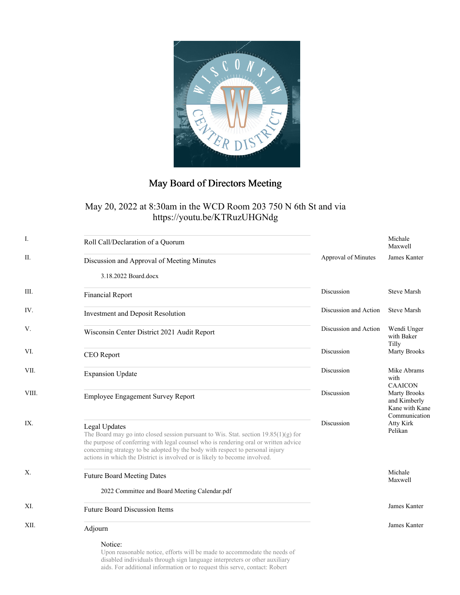

## May Board of Directors Meeting

## May 20, 2022 at 8:30am in the WCD Room 203 750 N 6th St and via https://youtu.be/KTRuzUHGNdg

| Ι.    | Roll Call/Declaration of a Quorum                                                                                                                                                                                                                                                                                                                             |                       | Michale<br>Maxwell                                                     |
|-------|---------------------------------------------------------------------------------------------------------------------------------------------------------------------------------------------------------------------------------------------------------------------------------------------------------------------------------------------------------------|-----------------------|------------------------------------------------------------------------|
| П.    | Discussion and Approval of Meeting Minutes                                                                                                                                                                                                                                                                                                                    | Approval of Minutes   | James Kanter                                                           |
|       | 3.18.2022 Board.docx                                                                                                                                                                                                                                                                                                                                          |                       |                                                                        |
| III.  | <b>Financial Report</b>                                                                                                                                                                                                                                                                                                                                       | Discussion            | <b>Steve Marsh</b>                                                     |
| IV.   | Investment and Deposit Resolution                                                                                                                                                                                                                                                                                                                             | Discussion and Action | <b>Steve Marsh</b>                                                     |
| V.    | Wisconsin Center District 2021 Audit Report                                                                                                                                                                                                                                                                                                                   | Discussion and Action | Wendi Unger<br>with Baker<br>Tilly                                     |
| VI.   | CEO Report                                                                                                                                                                                                                                                                                                                                                    | Discussion            | Marty Brooks                                                           |
| VII.  | <b>Expansion Update</b>                                                                                                                                                                                                                                                                                                                                       | Discussion            | Mike Abrams<br>with<br><b>CAAICON</b>                                  |
| VIII. | <b>Employee Engagement Survey Report</b>                                                                                                                                                                                                                                                                                                                      | Discussion            | <b>Marty Brooks</b><br>and Kimberly<br>Kane with Kane<br>Communication |
| IX.   | Legal Updates<br>The Board may go into closed session pursuant to Wis. Stat. section $19.85(1)(g)$ for<br>the purpose of conferring with legal counsel who is rendering oral or written advice<br>concerning strategy to be adopted by the body with respect to personal injury<br>actions in which the District is involved or is likely to become involved. | Discussion            | Atty Kirk<br>Pelikan                                                   |
| X.    | <b>Future Board Meeting Dates</b>                                                                                                                                                                                                                                                                                                                             |                       | Michale<br>Maxwell                                                     |
|       | 2022 Committee and Board Meeting Calendar.pdf                                                                                                                                                                                                                                                                                                                 |                       |                                                                        |
| XI.   | <b>Future Board Discussion Items</b>                                                                                                                                                                                                                                                                                                                          |                       | James Kanter                                                           |
| XII.  | Adjourn                                                                                                                                                                                                                                                                                                                                                       |                       | James Kanter                                                           |
|       | Notice:                                                                                                                                                                                                                                                                                                                                                       |                       |                                                                        |

Upon reasonable notice, efforts will be made to accommodate the needs of disabled individuals through sign language interpreters or other auxiliary aids. For additional information or to request this serve, contact: Robert